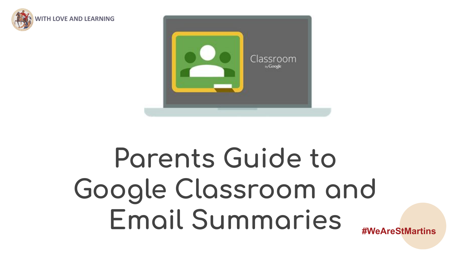



## **#WeAreStMartins Parents Guide to Google Classroom and Email Summaries**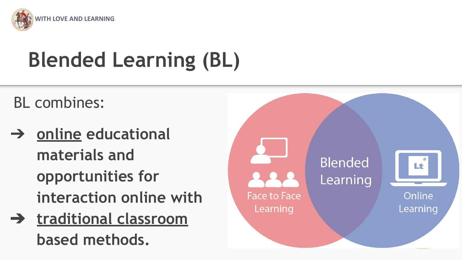

# **Blended Learning (BL)**

#### BL combines:

- ➔ **online educational materials and opportunities for interaction online with**
- ➔ **traditional classroom based methods.**

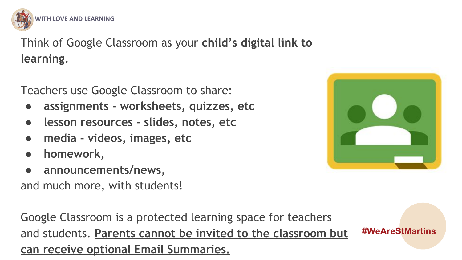

Think of Google Classroom as your **child's digital link to learning.**

Teachers use Google Classroom to share:

- **● assignments worksheets, quizzes, etc**
- **● lesson resources slides, notes, etc**
- **● media videos, images, etc**
- **● homework,**
- **announcements/news,**

and much more, with students!

Google Classroom is a protected learning space for teachers and students. **Parents cannot be invited to the classroom but can receive optional Email Summaries.**



**#WeAreStMartins**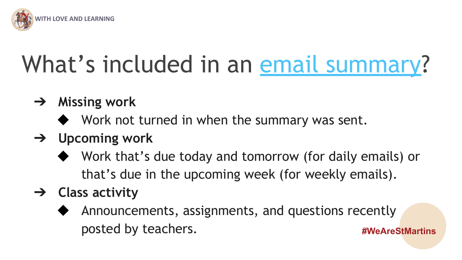

# What's included in an [email summary?](https://support.google.com/edu/classroom/answer/6386354?hl=en&authuser=0#zippy=%2Cemail-summary-example)

- ➔ **Missing work**
	- ◆ Work not turned in when the summary was sent.
- ➔ **Upcoming work**
	- ◆ Work that's due today and tomorrow (for daily emails) or that's due in the upcoming week (for weekly emails).
- ➔ **Class activity**
	- **#WeAreStMartins** Announcements, assignments, and questions recently posted by teachers.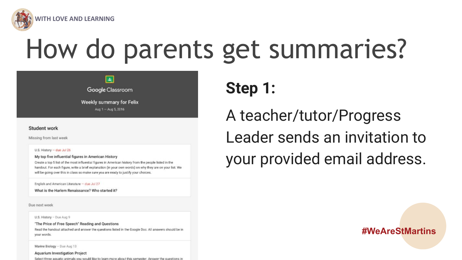

# How do parents get summaries?



#### Student work

Missing from last week

U.S. History - due Jul 26

My top five influential figures in American History

Create a top 5 list of the most influential figures in American history from the people listed in the handout. For each figure, write a brief explanation (in your own words) on why they are on your list. We will be going over this in class so make sure you are ready to justify your choices.

English and American Literature - due Jul 27

What is the Harlem Renaissance? Who started it?

Due next week

U.S. History - Due Aug 9

"The Price of Free Speech" Reading and Questions

Read the handout attached and answer the questions listed in the Google Doc. All answers should be in your words.

Marine Biology - Due Aug 13

**Aquarium Investigation Project** Select three aquatic animals you would like to learn more about this semester. Answer the questions in **Step 1:**

A teacher/tutor/Progress Leader sends an invitation to your provided email address.

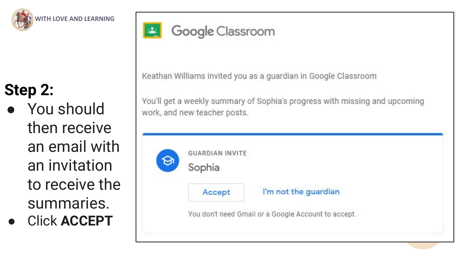

### **Step 2:**

● You should then receive an email with an invitation to receive the summaries.

● Click **ACCEPT**



#### Google Classroom

Keathan Williams invited you as a guardian in Google Classroom

You'll get a weekly summary of Sophia's progress with missing and upcoming work, and new teacher posts.

| <b>GUARDIAN INVITE</b><br>Sophia |                                                     |
|----------------------------------|-----------------------------------------------------|
| Accept                           | I'm not the guardian                                |
|                                  | You don't need Gmail or a Google Account to accept. |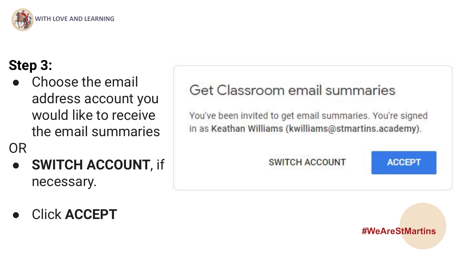

#### **Step 3:**

● Choose the email address account you would like to receive the email summaries

OR

- **SWITCH ACCOUNT**, if necessary.
- Click **ACCEPT**

#### Get Classroom email summaries

You've been invited to get email summaries. You're signed in as Keathan Williams (kwilliams@stmartins.academy).

**SWITCH ACCOUNT** 

**ACCEPT** 

**#WeAreStMartins**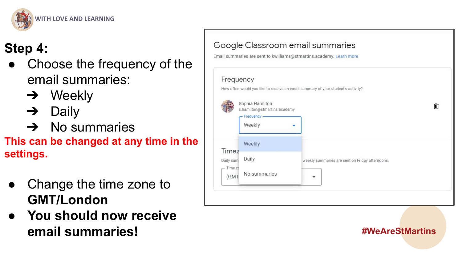

#### **Step 4:**

- Choose the frequency of the email summaries:
	- $\rightarrow$  Weekly
	- $\rightarrow$  Daily
	- $\rightarrow$  No summaries
- **This can be changed at any time in the settings.**
- Change the time zone to **GMT/London**
- **● You should now receive email summaries!**



٠

weekly summaries are sent on Friday afternoons

Daily

No summaries

Daily sum

 $-$  Time  $70$ 

 $(GM)$